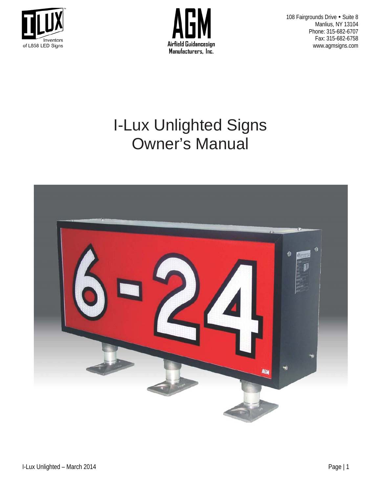



108 Fairgrounds Drive . Suite 8 Manlius, NY 13104 Phone: 315-682-6707 Fax: 315-682-6758 www.agmsigns.com

# I-Lux Unlighted Signs Owner's Manual

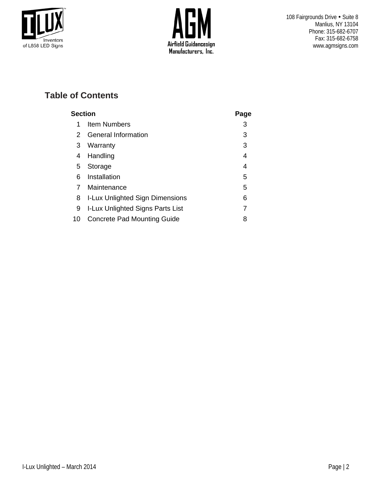



## **Table of Contents**

| <b>Section</b> |                                        |   |  |  |
|----------------|----------------------------------------|---|--|--|
| 1              | <b>Item Numbers</b>                    | 3 |  |  |
| 2              | <b>General Information</b>             | 3 |  |  |
| 3              | Warranty                               | 3 |  |  |
| 4              | Handling                               | 4 |  |  |
| 5              | Storage                                | 4 |  |  |
| 6              | Installation                           | 5 |  |  |
|                | Maintenance                            | 5 |  |  |
| 8              | <b>I-Lux Unlighted Sign Dimensions</b> | 6 |  |  |
| 9              | I-Lux Unlighted Signs Parts List       | 7 |  |  |
| 10             | <b>Concrete Pad Mounting Guide</b>     | 8 |  |  |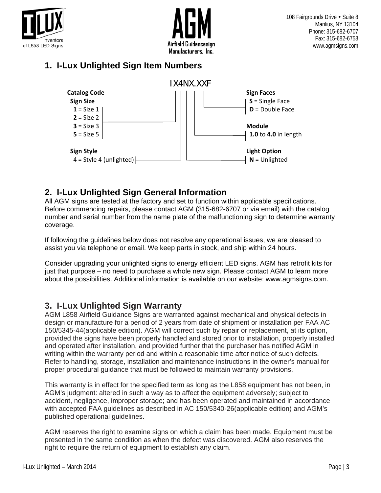



## **1. I-Lux Unlighted Sign Item Numbers**



### **2. I-Lux Unlighted Sign General Information**

All AGM signs are tested at the factory and set to function within applicable specifications. Before commencing repairs, please contact AGM (315-682-6707 or via email) with the catalog number and serial number from the name plate of the malfunctioning sign to determine warranty coverage.

If following the guidelines below does not resolve any operational issues, we are pleased to assist you via telephone or email. We keep parts in stock, and ship within 24 hours.

Consider upgrading your unlighted signs to energy efficient LED signs. AGM has retrofit kits for just that purpose – no need to purchase a whole new sign. Please contact AGM to learn more about the possibilities. Additional information is available on our website: www.agmsigns.com.

#### **3. I-Lux Unlighted Sign Warranty**

AGM L858 Airfield Guidance Signs are warranted against mechanical and physical defects in design or manufacture for a period of 2 years from date of shipment or installation per FAA AC 150/5345-44(applicable edition). AGM will correct such by repair or replacement, at its option, provided the signs have been properly handled and stored prior to installation, properly installed and operated after installation, and provided further that the purchaser has notified AGM in writing within the warranty period and within a reasonable time after notice of such defects. Refer to handling, storage, installation and maintenance instructions in the owner's manual for proper procedural guidance that must be followed to maintain warranty provisions.

This warranty is in effect for the specified term as long as the L858 equipment has not been, in AGM's judgment: altered in such a way as to affect the equipment adversely; subject to accident, negligence, improper storage; and has been operated and maintained in accordance with accepted FAA guidelines as described in AC 150/5340-26(applicable edition) and AGM's published operational guidelines.

AGM reserves the right to examine signs on which a claim has been made. Equipment must be presented in the same condition as when the defect was discovered. AGM also reserves the right to require the return of equipment to establish any claim.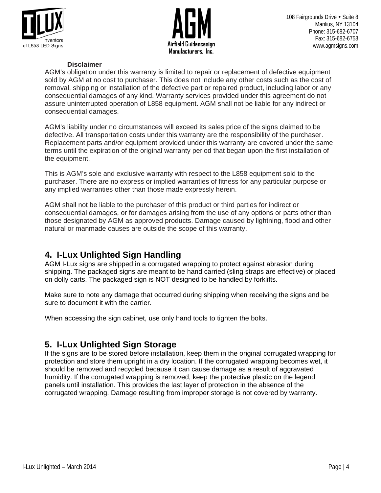



#### **Disclaimer**

AGM's obligation under this warranty is limited to repair or replacement of defective equipment sold by AGM at no cost to purchaser. This does not include any other costs such as the cost of removal, shipping or installation of the defective part or repaired product, including labor or any consequential damages of any kind. Warranty services provided under this agreement do not assure uninterrupted operation of L858 equipment. AGM shall not be liable for any indirect or consequential damages.

AGM's liability under no circumstances will exceed its sales price of the signs claimed to be defective. All transportation costs under this warranty are the responsibility of the purchaser. Replacement parts and/or equipment provided under this warranty are covered under the same terms until the expiration of the original warranty period that began upon the first installation of the equipment.

This is AGM's sole and exclusive warranty with respect to the L858 equipment sold to the purchaser. There are no express or implied warranties of fitness for any particular purpose or any implied warranties other than those made expressly herein.

AGM shall not be liable to the purchaser of this product or third parties for indirect or consequential damages, or for damages arising from the use of any options or parts other than those designated by AGM as approved products. Damage caused by lightning, flood and other natural or manmade causes are outside the scope of this warranty.

#### **4. I-Lux Unlighted Sign Handling**

AGM I-Lux signs are shipped in a corrugated wrapping to protect against abrasion during shipping. The packaged signs are meant to be hand carried (sling straps are effective) or placed on dolly carts. The packaged sign is NOT designed to be handled by forklifts.

Make sure to note any damage that occurred during shipping when receiving the signs and be sure to document it with the carrier.

When accessing the sign cabinet, use only hand tools to tighten the bolts.

#### **5. I-Lux Unlighted Sign Storage**

If the signs are to be stored before installation, keep them in the original corrugated wrapping for protection and store them upright in a dry location. If the corrugated wrapping becomes wet, it should be removed and recycled because it can cause damage as a result of aggravated humidity. If the corrugated wrapping is removed, keep the protective plastic on the legend panels until installation. This provides the last layer of protection in the absence of the corrugated wrapping. Damage resulting from improper storage is not covered by warranty.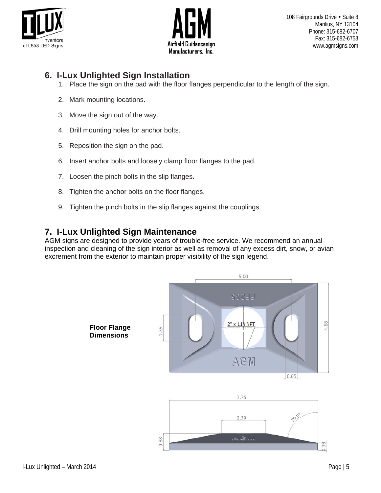



#### **6. I-Lux Unlighted Sign Installation**

- 1. Place the sign on the pad with the floor flanges perpendicular to the length of the sign.
- 2. Mark mounting locations.
- 3. Move the sign out of the way.
- 4. Drill mounting holes for anchor bolts.
- 5. Reposition the sign on the pad.
- 6. Insert anchor bolts and loosely clamp floor flanges to the pad.
- 7. Loosen the pinch bolts in the slip flanges.
- 8. Tighten the anchor bolts on the floor flanges.
- 9. Tighten the pinch bolts in the slip flanges against the couplings.

#### **7. I-Lux Unlighted Sign Maintenance**

AGM signs are designed to provide years of trouble-free service. We recommend an annual inspection and cleaning of the sign interior as well as removal of any excess dirt, snow, or avian excrement from the exterior to maintain proper visibility of the sign legend.

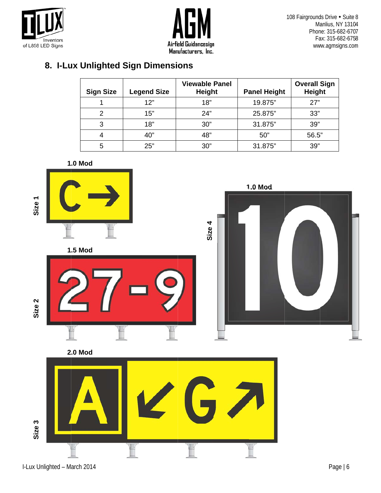



108 Fairgrounds Drive . Suite 8 Manlius, NY 13104 Phone: 315-682-6707 Fax: 315-682-6758 www.agmsigns.com

## 8. I-Lux Unlighted Sign Dimensions

| <b>Sign Size</b> | <b>Legend Size</b> | <b>Viewable Panel</b><br><b>Height</b> | <b>Panel Height</b> | <b>Overall Sign</b><br><b>Height</b> |
|------------------|--------------------|----------------------------------------|---------------------|--------------------------------------|
|                  | 12"                | 18"                                    | 19.875"             | 27"                                  |
| 2                | 15"                | 24"                                    | 25.875"             | 33"                                  |
| 3                | 18"                | 30"                                    | 31.875"             | 39"                                  |
| 4                | 40"                | 48"                                    | 50"                 | 56.5"                                |
| 5                | 25"                | 30"                                    | 31.875"             | 39"                                  |







Size 3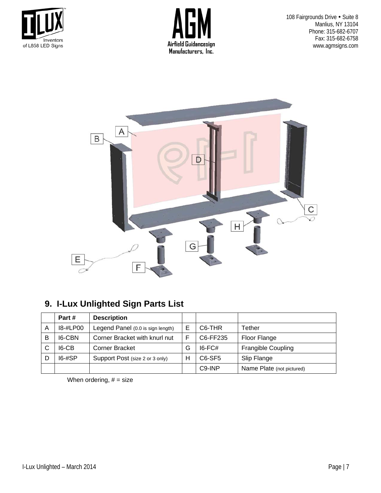



108 Fairgrounds Drive . Suite 8 Manlius, NY 13104 Phone: 315-682-6707 Fax: 315-682-6758 www.agmsigns.com



## **9. I-Lux Unlighted Sign Parts List**

|   | Part #     | <b>Description</b>                |   |                                 |                           |
|---|------------|-----------------------------------|---|---------------------------------|---------------------------|
| А | 18-#LP00   | Legend Panel (0.0 is sign length) | E | C <sub>6</sub> -THR             | Tether                    |
| В | 16-CBN     | Corner Bracket with knurl nut     | F | C6-FF235                        | Floor Flange              |
| С | I6-CB      | <b>Corner Bracket</b>             | G | $16$ -FC#                       | <b>Frangible Coupling</b> |
|   | $16 - #SP$ | Support Post (size 2 or 3 only)   | н | C <sub>6</sub> -SF <sub>5</sub> | Slip Flange               |
|   |            |                                   |   | C <sub>9</sub> -INP             | Name Plate (not pictured) |

When ordering,  $# = size$